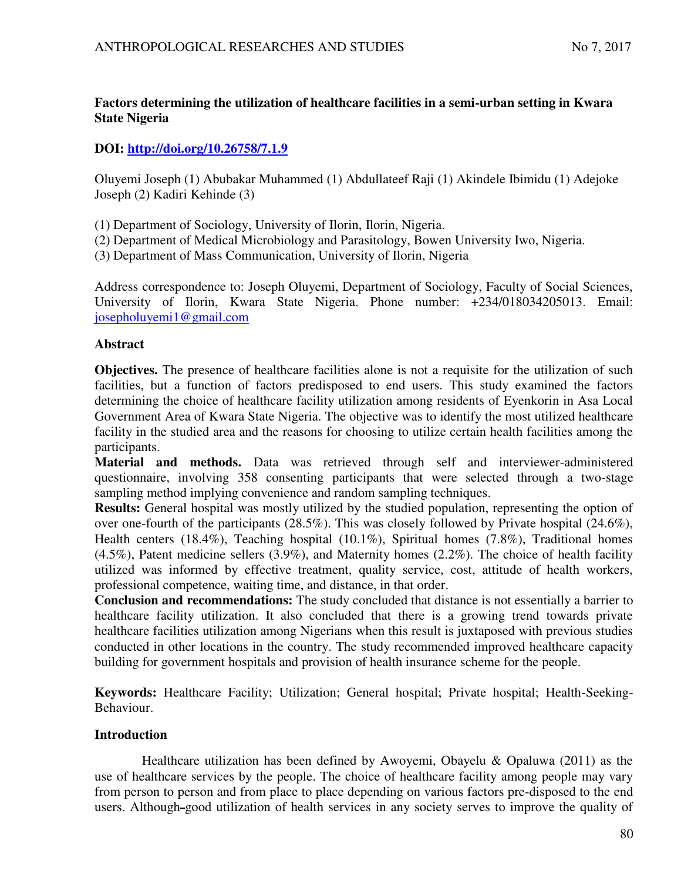# **Factors determining the utilization of healthcare facilities in a semi-urban setting in Kwara State Nigeria**

## **DOI:<http://doi.org/10.26758/7.1.9>**

Oluyemi Joseph (1) Abubakar Muhammed (1) Abdullateef Raji (1) Akindele Ibimidu (1) Adejoke Joseph (2) Kadiri Kehinde (3)

- (1) Department of Sociology, University of Ilorin, Ilorin, Nigeria.
- (2) Department of Medical Microbiology and Parasitology, Bowen University Iwo, Nigeria.
- (3) Department of Mass Communication, University of Ilorin, Nigeria

Address correspondence to: Joseph Oluyemi, Department of Sociology, Faculty of Social Sciences, University of Ilorin, Kwara State Nigeria. Phone number: +234/018034205013. Email: josepholuyemi1@gmail.com

## **Abstract**

**Objectives.** The presence of healthcare facilities alone is not a requisite for the utilization of such facilities, but a function of factors predisposed to end users. This study examined the factors determining the choice of healthcare facility utilization among residents of Eyenkorin in Asa Local Government Area of Kwara State Nigeria. The objective was to identify the most utilized healthcare facility in the studied area and the reasons for choosing to utilize certain health facilities among the participants.

**Material and methods.** Data was retrieved through self and interviewer-administered questionnaire, involving 358 consenting participants that were selected through a two-stage sampling method implying convenience and random sampling techniques.

**Results:** General hospital was mostly utilized by the studied population, representing the option of over one-fourth of the participants (28.5%). This was closely followed by Private hospital (24.6%), Health centers (18.4%), Teaching hospital (10.1%), Spiritual homes (7.8%), Traditional homes (4.5%), Patent medicine sellers (3.9%), and Maternity homes (2.2%). The choice of health facility utilized was informed by effective treatment, quality service, cost, attitude of health workers, professional competence, waiting time, and distance, in that order.

**Conclusion and recommendations:** The study concluded that distance is not essentially a barrier to healthcare facility utilization. It also concluded that there is a growing trend towards private healthcare facilities utilization among Nigerians when this result is juxtaposed with previous studies conducted in other locations in the country. The study recommended improved healthcare capacity building for government hospitals and provision of health insurance scheme for the people.

**Keywords:** Healthcare Facility; Utilization; General hospital; Private hospital; Health-Seeking-Behaviour.

## **Introduction**

Healthcare utilization has been defined by Awoyemi, Obayelu & Opaluwa (2011) as the use of healthcare services by the people. The choice of healthcare facility among people may vary from person to person and from place to place depending on various factors pre-disposed to the end users. Although-good utilization of health services in any society serves to improve the quality of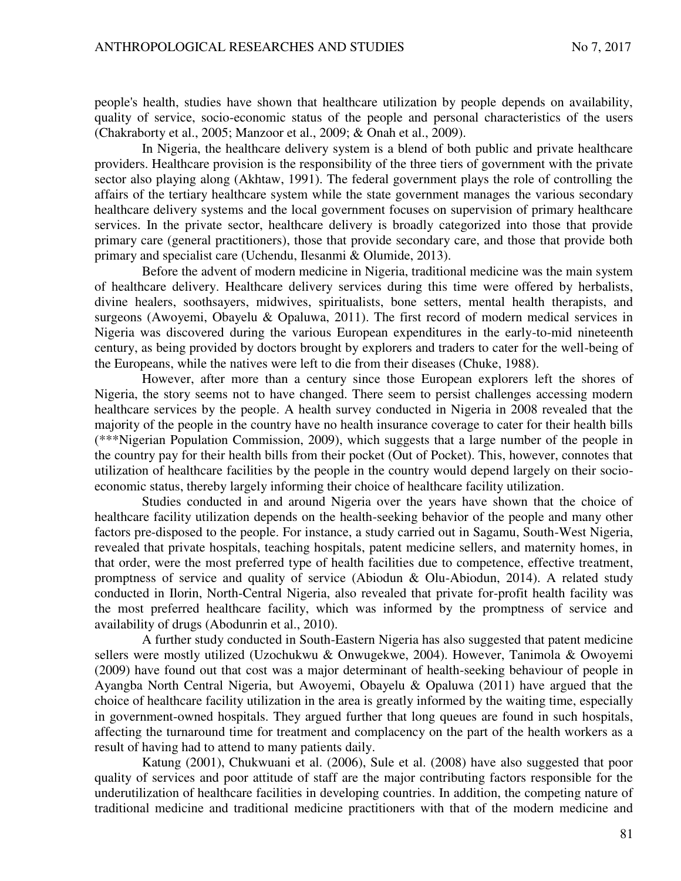people's health, studies have shown that healthcare utilization by people depends on availability, quality of service, socio-economic status of the people and personal characteristics of the users (Chakraborty et al., 2005; Manzoor et al., 2009; & Onah et al., 2009).

In Nigeria, the healthcare delivery system is a blend of both public and private healthcare providers. Healthcare provision is the responsibility of the three tiers of government with the private sector also playing along (Akhtaw, 1991). The federal government plays the role of controlling the affairs of the tertiary healthcare system while the state government manages the various secondary healthcare delivery systems and the local government focuses on supervision of primary healthcare services. In the private sector, healthcare delivery is broadly categorized into those that provide primary care (general practitioners), those that provide secondary care, and those that provide both primary and specialist care (Uchendu, Ilesanmi & Olumide, 2013).

Before the advent of modern medicine in Nigeria, traditional medicine was the main system of healthcare delivery. Healthcare delivery services during this time were offered by herbalists, divine healers, soothsayers, midwives, spiritualists, bone setters, mental health therapists, and surgeons (Awoyemi, Obayelu & Opaluwa, 2011). The first record of modern medical services in Nigeria was discovered during the various European expenditures in the early-to-mid nineteenth century, as being provided by doctors brought by explorers and traders to cater for the well-being of the Europeans, while the natives were left to die from their diseases (Chuke, 1988).

However, after more than a century since those European explorers left the shores of Nigeria, the story seems not to have changed. There seem to persist challenges accessing modern healthcare services by the people. A health survey conducted in Nigeria in 2008 revealed that the majority of the people in the country have no health insurance coverage to cater for their health bills (\*\*\*Nigerian Population Commission, 2009), which suggests that a large number of the people in the country pay for their health bills from their pocket (Out of Pocket). This, however, connotes that utilization of healthcare facilities by the people in the country would depend largely on their socioeconomic status, thereby largely informing their choice of healthcare facility utilization.

Studies conducted in and around Nigeria over the years have shown that the choice of healthcare facility utilization depends on the health-seeking behavior of the people and many other factors pre-disposed to the people. For instance, a study carried out in Sagamu, South-West Nigeria, revealed that private hospitals, teaching hospitals, patent medicine sellers, and maternity homes, in that order, were the most preferred type of health facilities due to competence, effective treatment, promptness of service and quality of service (Abiodun & Olu-Abiodun, 2014). A related study conducted in Ilorin, North-Central Nigeria, also revealed that private for-profit health facility was the most preferred healthcare facility, which was informed by the promptness of service and availability of drugs (Abodunrin et al., 2010).

A further study conducted in South-Eastern Nigeria has also suggested that patent medicine sellers were mostly utilized (Uzochukwu & Onwugekwe, 2004). However, Tanimola & Owoyemi (2009) have found out that cost was a major determinant of health-seeking behaviour of people in Ayangba North Central Nigeria, but Awoyemi, Obayelu & Opaluwa (2011) have argued that the choice of healthcare facility utilization in the area is greatly informed by the waiting time, especially in government-owned hospitals. They argued further that long queues are found in such hospitals, affecting the turnaround time for treatment and complacency on the part of the health workers as a result of having had to attend to many patients daily.

Katung (2001), Chukwuani et al. (2006), Sule et al. (2008) have also suggested that poor quality of services and poor attitude of staff are the major contributing factors responsible for the underutilization of healthcare facilities in developing countries. In addition, the competing nature of traditional medicine and traditional medicine practitioners with that of the modern medicine and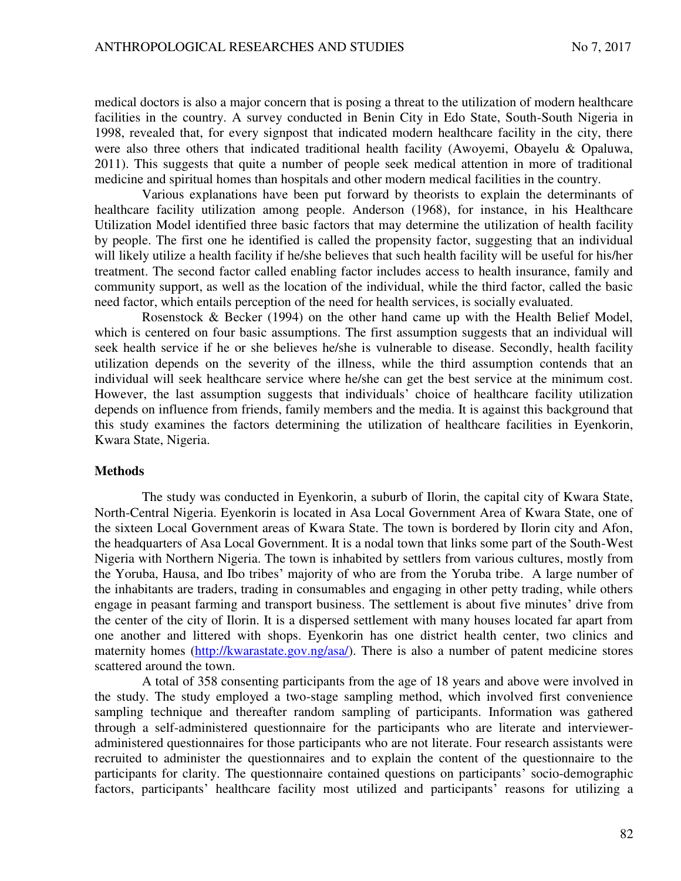medical doctors is also a major concern that is posing a threat to the utilization of modern healthcare facilities in the country. A survey conducted in Benin City in Edo State, South-South Nigeria in 1998, revealed that, for every signpost that indicated modern healthcare facility in the city, there were also three others that indicated traditional health facility (Awoyemi, Obayelu & Opaluwa, 2011). This suggests that quite a number of people seek medical attention in more of traditional medicine and spiritual homes than hospitals and other modern medical facilities in the country.

Various explanations have been put forward by theorists to explain the determinants of healthcare facility utilization among people. Anderson (1968), for instance, in his Healthcare Utilization Model identified three basic factors that may determine the utilization of health facility by people. The first one he identified is called the propensity factor, suggesting that an individual will likely utilize a health facility if he/she believes that such health facility will be useful for his/her treatment. The second factor called enabling factor includes access to health insurance, family and community support, as well as the location of the individual, while the third factor, called the basic need factor, which entails perception of the need for health services, is socially evaluated.

Rosenstock & Becker (1994) on the other hand came up with the Health Belief Model, which is centered on four basic assumptions. The first assumption suggests that an individual will seek health service if he or she believes he/she is vulnerable to disease. Secondly, health facility utilization depends on the severity of the illness, while the third assumption contends that an individual will seek healthcare service where he/she can get the best service at the minimum cost. However, the last assumption suggests that individuals' choice of healthcare facility utilization depends on influence from friends, family members and the media. It is against this background that this study examines the factors determining the utilization of healthcare facilities in Eyenkorin, Kwara State, Nigeria.

### **Methods**

The study was conducted in Eyenkorin, a suburb of Ilorin, the capital city of Kwara State, North-Central Nigeria. Eyenkorin is located in Asa Local Government Area of Kwara State, one of the sixteen Local Government areas of Kwara State. The town is bordered by Ilorin city and Afon, the headquarters of Asa Local Government. It is a nodal town that links some part of the South-West Nigeria with Northern Nigeria. The town is inhabited by settlers from various cultures, mostly from the Yoruba, Hausa, and Ibo tribes' majority of who are from the Yoruba tribe. A large number of the inhabitants are traders, trading in consumables and engaging in other petty trading, while others engage in peasant farming and transport business. The settlement is about five minutes' drive from the center of the city of Ilorin. It is a dispersed settlement with many houses located far apart from one another and littered with shops. Eyenkorin has one district health center, two clinics and maternity homes [\(http://kwarastate.gov.ng/asa/\)](http://kwarastate.gov.ng/asa/). There is also a number of patent medicine stores scattered around the town.

A total of 358 consenting participants from the age of 18 years and above were involved in the study. The study employed a two-stage sampling method, which involved first convenience sampling technique and thereafter random sampling of participants. Information was gathered through a self-administered questionnaire for the participants who are literate and intervieweradministered questionnaires for those participants who are not literate. Four research assistants were recruited to administer the questionnaires and to explain the content of the questionnaire to the participants for clarity. The questionnaire contained questions on participants' socio-demographic factors, participants' healthcare facility most utilized and participants' reasons for utilizing a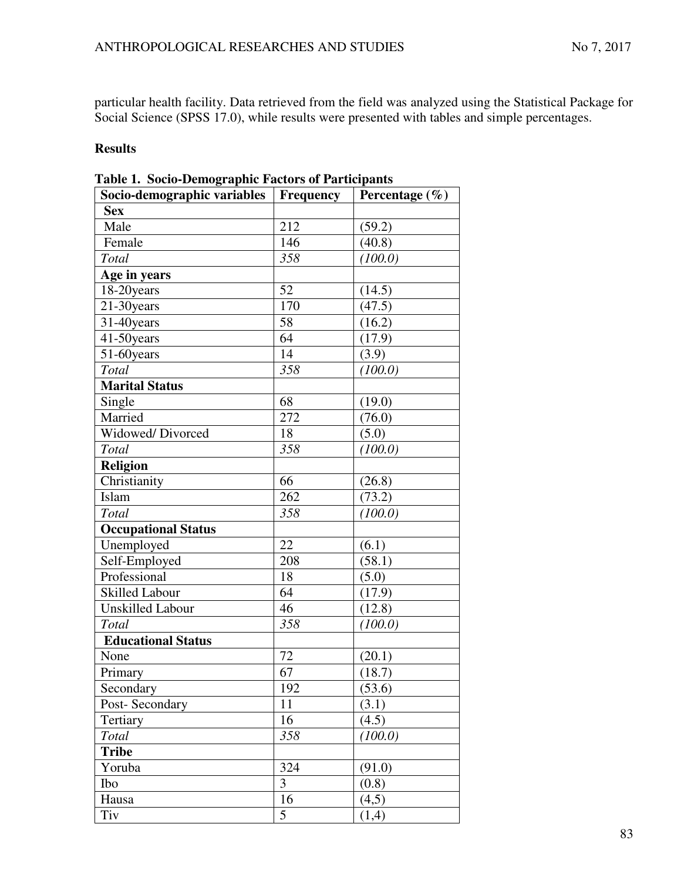particular health facility. Data retrieved from the field was analyzed using the Statistical Package for Social Science (SPSS 17.0), while results were presented with tables and simple percentages.

# **Results**

| $\sim$ socio Demograpme rue.<br>Socio-demographic variables   Frequency | $\frac{1}{2}$ | Percentage $(\% )$ |
|-------------------------------------------------------------------------|---------------|--------------------|
| <b>Sex</b>                                                              |               |                    |
| Male                                                                    | 212           | (59.2)             |
| Female                                                                  | 146           | (40.8)             |
| Total                                                                   | 358           | (100.0)            |
| Age in years                                                            |               |                    |
| 18-20 years                                                             | 52            | (14.5)             |
| 21-30years                                                              | 170           | (47.5)             |
| 31-40years                                                              | 58            | (16.2)             |
| 41-50years                                                              | 64            | (17.9)             |
| 51-60years                                                              | 14            | (3.9)              |
| Total                                                                   | 358           | (100.0)            |
| <b>Marital Status</b>                                                   |               |                    |
| Single                                                                  | 68            | (19.0)             |
| Married                                                                 | 272           | (76.0)             |
| Widowed/Divorced                                                        | 18            | (5.0)              |
| Total                                                                   | 358           | (100.0)            |
| <b>Religion</b>                                                         |               |                    |
| Christianity                                                            | 66            | (26.8)             |
| Islam                                                                   | 262           | (73.2)             |
| Total                                                                   | 358           | (100.0)            |
| <b>Occupational Status</b>                                              |               |                    |
| Unemployed                                                              | 22            | (6.1)              |
| Self-Employed                                                           | 208           | (58.1)             |
| Professional                                                            | 18            | (5.0)              |
| <b>Skilled Labour</b>                                                   | 64            | (17.9)             |
| Unskilled Labour                                                        | 46            | (12.8)             |
| Total                                                                   | 358           | (100.0)            |
| <b>Educational Status</b>                                               |               |                    |
| None                                                                    | 72            | (20.1)             |
| Primary                                                                 | 67            | (18.7)             |
| Secondary                                                               | 192           | (53.6)             |
| Post-Secondary                                                          | 11            | (3.1)              |
| Tertiary                                                                | 16            | (4.5)              |
| Total                                                                   | 358           | (100.0)            |
| <b>Tribe</b>                                                            |               |                    |
| Yoruba                                                                  | 324           | (91.0)             |
| Ibo                                                                     | 3             | (0.8)              |
| Hausa                                                                   | 16            | (4,5)              |
| Tiv                                                                     | 5             | (1,4)              |

|  | Table 1. Socio-Demographic Factors of Participants |  |  |
|--|----------------------------------------------------|--|--|
|--|----------------------------------------------------|--|--|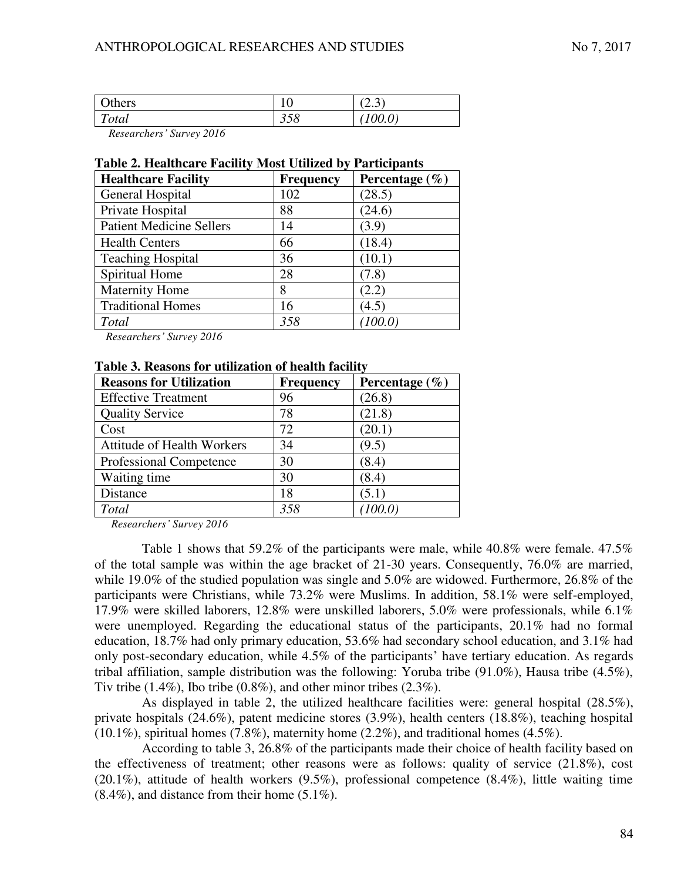| Others                                   | $1 \Omega$<br>ΙV | $\sim$<br>$\bigcap$<br>∵ ب∡. |
|------------------------------------------|------------------|------------------------------|
| $\mathbf{r}$<br><i>i</i> otal            | 358              | 100.0                        |
| $\sim$ $\sim$ $\sim$<br>$\sim$<br>$\sim$ |                  |                              |

*Researchers' Survey 2016* 

#### **Table 2. Healthcare Facility Most Utilized by Participants**

| <b>Healthcare Facility</b>      | <b>Frequency</b> | Percentage $(\% )$ |
|---------------------------------|------------------|--------------------|
| General Hospital                | 102              | (28.5)             |
| Private Hospital                | 88               | (24.6)             |
| <b>Patient Medicine Sellers</b> | 14               | (3.9)              |
| <b>Health Centers</b>           | 66               | (18.4)             |
| <b>Teaching Hospital</b>        | 36               | (10.1)             |
| Spiritual Home                  | 28               | (7.8)              |
| <b>Maternity Home</b>           | 8                | (2.2)              |
| <b>Traditional Homes</b>        | 16               | (4.5)              |
| Total                           | 358              | (100.0)            |

*Researchers' Survey 2016* 

#### **Table 3. Reasons for utilization of health facility**

| <b>Reasons for Utilization</b>    | <b>Frequency</b> | Percentage $(\% )$ |
|-----------------------------------|------------------|--------------------|
| <b>Effective Treatment</b>        | 96               | (26.8)             |
| <b>Quality Service</b>            | 78               | (21.8)             |
| Cost                              | 72               | (20.1)             |
| <b>Attitude of Health Workers</b> | 34               | (9.5)              |
| Professional Competence           | 30               | (8.4)              |
| Waiting time                      | 30               | (8.4)              |
| Distance                          | 18               | (5.1)              |
| Total                             | 358              | (100.0)            |

*Researchers' Survey 2016* 

Table 1 shows that 59.2% of the participants were male, while 40.8% were female. 47.5% of the total sample was within the age bracket of 21-30 years. Consequently, 76.0% are married, while 19.0% of the studied population was single and 5.0% are widowed. Furthermore, 26.8% of the participants were Christians, while 73.2% were Muslims. In addition, 58.1% were self-employed, 17.9% were skilled laborers, 12.8% were unskilled laborers, 5.0% were professionals, while 6.1% were unemployed. Regarding the educational status of the participants, 20.1% had no formal education, 18.7% had only primary education, 53.6% had secondary school education, and 3.1% had only post-secondary education, while 4.5% of the participants' have tertiary education. As regards tribal affiliation, sample distribution was the following: Yoruba tribe (91.0%), Hausa tribe (4.5%), Tiv tribe  $(1.4\%)$ , Ibo tribe  $(0.8\%)$ , and other minor tribes  $(2.3\%)$ .

As displayed in table 2, the utilized healthcare facilities were: general hospital (28.5%), private hospitals (24.6%), patent medicine stores (3.9%), health centers (18.8%), teaching hospital  $(10.1\%)$ , spiritual homes  $(7.8\%)$ , maternity home  $(2.2\%)$ , and traditional homes  $(4.5\%)$ .

According to table 3, 26.8% of the participants made their choice of health facility based on the effectiveness of treatment; other reasons were as follows: quality of service (21.8%), cost (20.1%), attitude of health workers (9.5%), professional competence (8.4%), little waiting time  $(8.4\%)$ , and distance from their home  $(5.1\%)$ .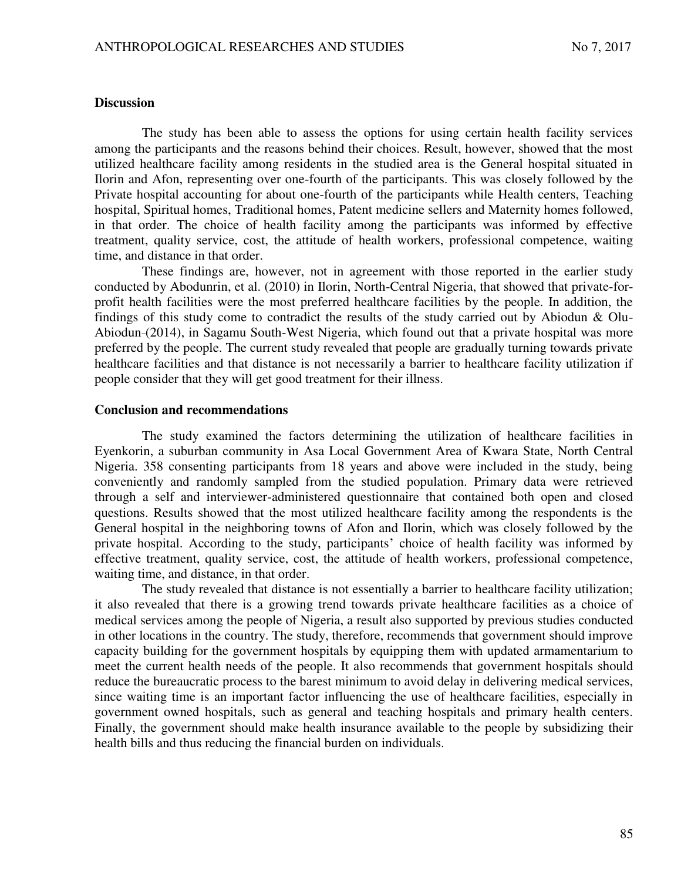### **Discussion**

The study has been able to assess the options for using certain health facility services among the participants and the reasons behind their choices. Result, however, showed that the most utilized healthcare facility among residents in the studied area is the General hospital situated in Ilorin and Afon, representing over one-fourth of the participants. This was closely followed by the Private hospital accounting for about one-fourth of the participants while Health centers, Teaching hospital, Spiritual homes, Traditional homes, Patent medicine sellers and Maternity homes followed, in that order. The choice of health facility among the participants was informed by effective treatment, quality service, cost, the attitude of health workers, professional competence, waiting time, and distance in that order.

These findings are, however, not in agreement with those reported in the earlier study conducted by Abodunrin, et al. (2010) in Ilorin, North-Central Nigeria, that showed that private-forprofit health facilities were the most preferred healthcare facilities by the people. In addition, the findings of this study come to contradict the results of the study carried out by Abiodun & Olu-Abiodun-(2014), in Sagamu South-West Nigeria, which found out that a private hospital was more preferred by the people. The current study revealed that people are gradually turning towards private healthcare facilities and that distance is not necessarily a barrier to healthcare facility utilization if people consider that they will get good treatment for their illness.

#### **Conclusion and recommendations**

The study examined the factors determining the utilization of healthcare facilities in Eyenkorin, a suburban community in Asa Local Government Area of Kwara State, North Central Nigeria. 358 consenting participants from 18 years and above were included in the study, being conveniently and randomly sampled from the studied population. Primary data were retrieved through a self and interviewer-administered questionnaire that contained both open and closed questions. Results showed that the most utilized healthcare facility among the respondents is the General hospital in the neighboring towns of Afon and Ilorin, which was closely followed by the private hospital. According to the study, participants' choice of health facility was informed by effective treatment, quality service, cost, the attitude of health workers, professional competence, waiting time, and distance, in that order.

The study revealed that distance is not essentially a barrier to healthcare facility utilization; it also revealed that there is a growing trend towards private healthcare facilities as a choice of medical services among the people of Nigeria, a result also supported by previous studies conducted in other locations in the country. The study, therefore, recommends that government should improve capacity building for the government hospitals by equipping them with updated armamentarium to meet the current health needs of the people. It also recommends that government hospitals should reduce the bureaucratic process to the barest minimum to avoid delay in delivering medical services, since waiting time is an important factor influencing the use of healthcare facilities, especially in government owned hospitals, such as general and teaching hospitals and primary health centers. Finally, the government should make health insurance available to the people by subsidizing their health bills and thus reducing the financial burden on individuals.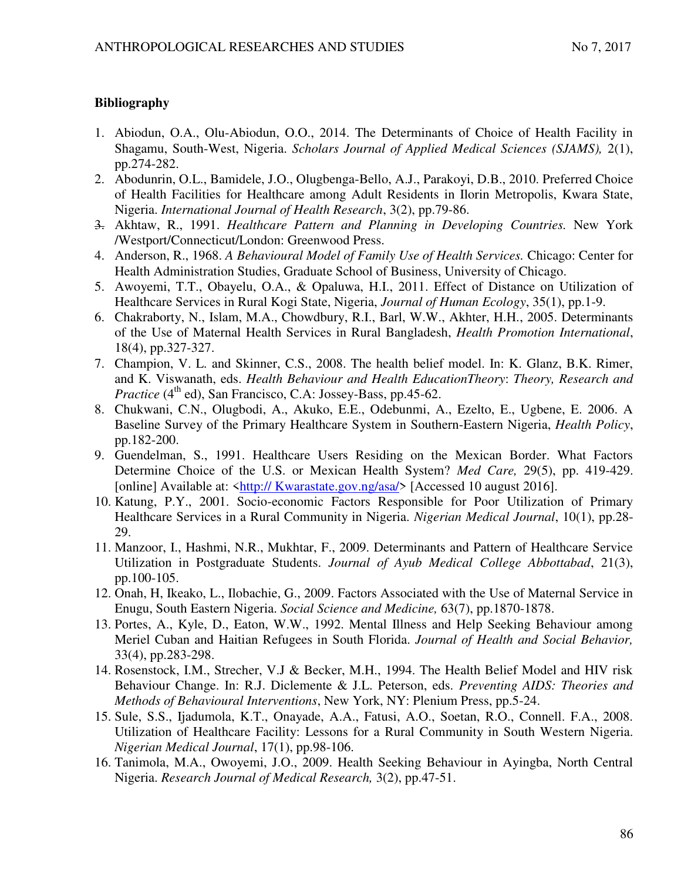## **Bibliography**

- 1. Abiodun, O.A., Olu-Abiodun, O.O., 2014. The Determinants of Choice of Health Facility in Shagamu, South-West, Nigeria. *Scholars Journal of Applied Medical Sciences (SJAMS),* 2(1), pp.274-282.
- 2. Abodunrin, O.L., Bamidele, J.O., Olugbenga-Bello, A.J., Parakoyi, D.B., 2010. Preferred Choice of Health Facilities for Healthcare among Adult Residents in Ilorin Metropolis, Kwara State, Nigeria. *International Journal of Health Research*, 3(2), pp.79-86.
- 3. Akhtaw, R., 1991. *Healthcare Pattern and Planning in Developing Countries.* New York /Westport/Connecticut/London: Greenwood Press.
- 4. Anderson, R., 1968. *A Behavioural Model of Family Use of Health Services.* Chicago: Center for Health Administration Studies, Graduate School of Business, University of Chicago.
- 5. Awoyemi, T.T., Obayelu, O.A., & Opaluwa, H.I., 2011. Effect of Distance on Utilization of Healthcare Services in Rural Kogi State, Nigeria, *Journal of Human Ecology*, 35(1), pp.1-9.
- 6. Chakraborty, N., Islam, M.A., Chowdbury, R.I., Barl, W.W., Akhter, H.H., 2005. Determinants of the Use of Maternal Health Services in Rural Bangladesh, *Health Promotion International*, 18(4), pp.327-327.
- 7. Champion, V. L. and Skinner, C.S., 2008. The health belief model. In: K. Glanz, B.K. Rimer, and K. Viswanath, eds. *Health Behaviour and Health EducationTheory*: *Theory, Research and Practice* (4<sup>th</sup> ed), San Francisco, C.A: Jossey-Bass, pp.45-62.
- 8. Chukwani, C.N., Olugbodi, A., Akuko, E.E., Odebunmi, A., Ezelto, E., Ugbene, E. 2006. A Baseline Survey of the Primary Healthcare System in Southern-Eastern Nigeria, *Health Policy*, pp.182-200.
- 9. Guendelman, S., 1991. Healthcare Users Residing on the Mexican Border. What Factors Determine Choice of the U.S. or Mexican Health System? *Med Care,* 29(5), pp. 419-429. [online] Available at: <http:// Kwarastate.gov.ng/asa/> [Accessed 10 august 2016].
- 10. Katung, P.Y., 2001. Socio-economic Factors Responsible for Poor Utilization of Primary Healthcare Services in a Rural Community in Nigeria. *Nigerian Medical Journal*, 10(1), pp.28- 29.
- 11. Manzoor, I., Hashmi, N.R., Mukhtar, F., 2009. Determinants and Pattern of Healthcare Service Utilization in Postgraduate Students. *Journal of Ayub Medical College Abbottabad*, 21(3), pp.100-105.
- 12. Onah, H, Ikeako, L., Ilobachie, G., 2009. Factors Associated with the Use of Maternal Service in Enugu, South Eastern Nigeria. *Social Science and Medicine,* 63(7), pp.1870-1878.
- 13. Portes, A., Kyle, D., Eaton, W.W., 1992. Mental Illness and Help Seeking Behaviour among Meriel Cuban and Haitian Refugees in South Florida. *Journal of Health and Social Behavior,* 33(4), pp.283-298.
- 14. Rosenstock, I.M., Strecher, V.J & Becker, M.H., 1994. The Health Belief Model and HIV risk Behaviour Change. In: R.J. Diclemente & J.L. Peterson, eds. *Preventing AIDS: Theories and Methods of Behavioural Interventions*, New York, NY: Plenium Press, pp.5-24.
- 15. Sule, S.S., Ijadumola, K.T., Onayade, A.A., Fatusi, A.O., Soetan, R.O., Connell. F.A., 2008. Utilization of Healthcare Facility: Lessons for a Rural Community in South Western Nigeria. *Nigerian Medical Journal*, 17(1), pp.98-106.
- 16. Tanimola, M.A., Owoyemi, J.O., 2009. Health Seeking Behaviour in Ayingba, North Central Nigeria. *Research Journal of Medical Research,* 3(2), pp.47-51.